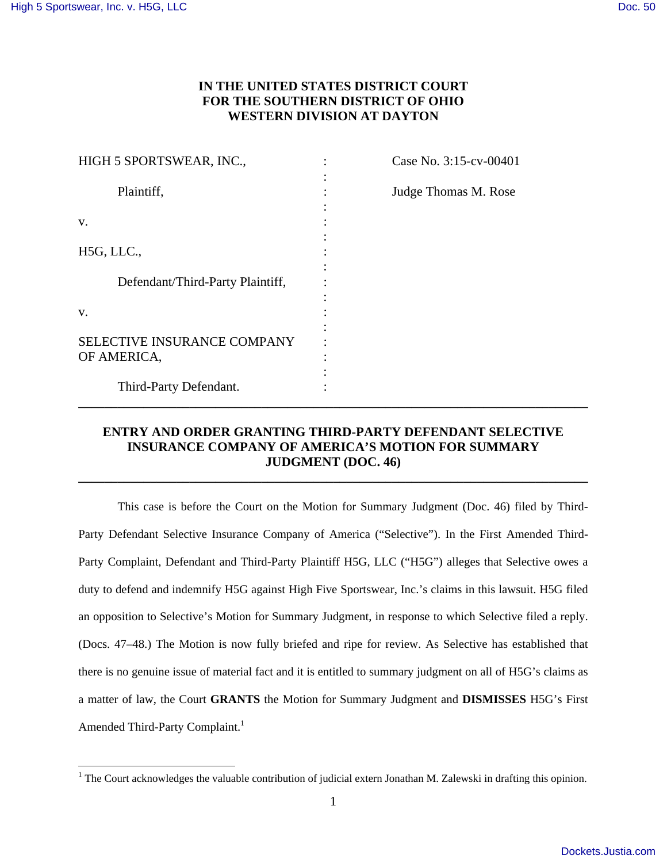<u>.</u>

# **IN THE UNITED STATES DISTRICT COURT FOR THE SOUTHERN DISTRICT OF OHIO WESTERN DIVISION AT DAYTON**

| HIGH 5 SPORTSWEAR, INC.,                   | Case No. 3:15-cv-00401 |
|--------------------------------------------|------------------------|
| Plaintiff,                                 | Judge Thomas M. Rose   |
| V.                                         |                        |
| H5G, LLC.,                                 |                        |
| Defendant/Third-Party Plaintiff,           |                        |
| V.                                         |                        |
| SELECTIVE INSURANCE COMPANY<br>OF AMERICA, |                        |
| Third-Party Defendant.                     |                        |

# **ENTRY AND ORDER GRANTING THIRD-PARTY DEFENDANT SELECTIVE INSURANCE COMPANY OF AMERICA'S MOTION FOR SUMMARY JUDGMENT (DOC. 46)**

**\_\_\_\_\_\_\_\_\_\_\_\_\_\_\_\_\_\_\_\_\_\_\_\_\_\_\_\_\_\_\_\_\_\_\_\_\_\_\_\_\_\_\_\_\_\_\_\_\_\_\_\_\_\_\_\_\_\_\_\_\_\_\_\_\_\_\_\_\_\_\_\_\_\_\_\_\_\_** 

 This case is before the Court on the Motion for Summary Judgment (Doc. 46) filed by Third-Party Defendant Selective Insurance Company of America ("Selective"). In the First Amended Third-Party Complaint, Defendant and Third-Party Plaintiff H5G, LLC ("H5G") alleges that Selective owes a duty to defend and indemnify H5G against High Five Sportswear, Inc.'s claims in this lawsuit. H5G filed an opposition to Selective's Motion for Summary Judgment, in response to which Selective filed a reply. (Docs. 47–48.) The Motion is now fully briefed and ripe for review. As Selective has established that there is no genuine issue of material fact and it is entitled to summary judgment on all of H5G's claims as a matter of law, the Court **GRANTS** the Motion for Summary Judgment and **DISMISSES** H5G's First Amended Third-Party Complaint.<sup>1</sup>

<sup>&</sup>lt;sup>1</sup> The Court acknowledges the valuable contribution of judicial extern Jonathan M. Zalewski in drafting this opinion.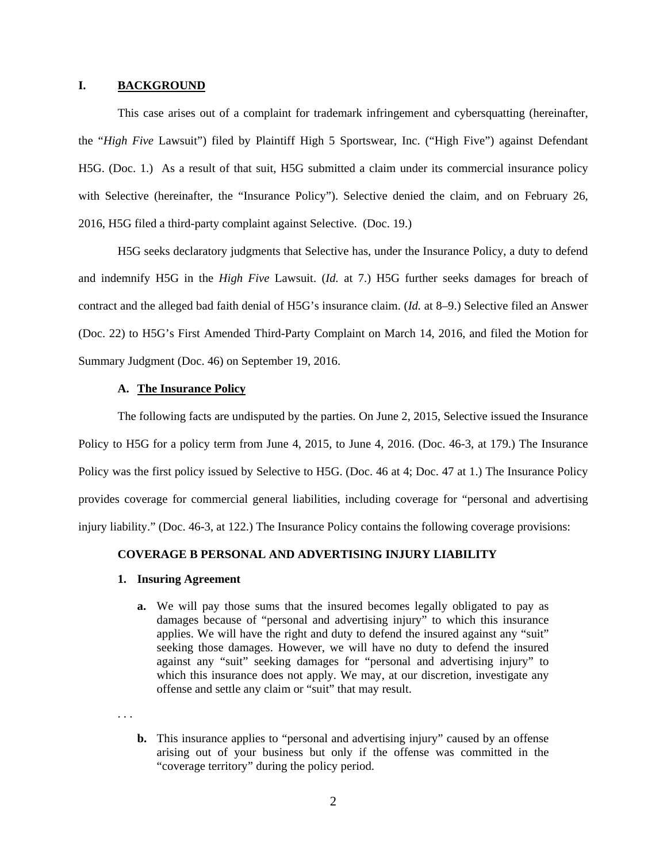## **I. BACKGROUND**

 This case arises out of a complaint for trademark infringement and cybersquatting (hereinafter, the "*High Five* Lawsuit") filed by Plaintiff High 5 Sportswear, Inc. ("High Five") against Defendant H5G. (Doc. 1.) As a result of that suit, H5G submitted a claim under its commercial insurance policy with Selective (hereinafter, the "Insurance Policy"). Selective denied the claim, and on February 26, 2016, H5G filed a third-party complaint against Selective. (Doc. 19.)

 H5G seeks declaratory judgments that Selective has, under the Insurance Policy, a duty to defend and indemnify H5G in the *High Five* Lawsuit. (*Id.* at 7.) H5G further seeks damages for breach of contract and the alleged bad faith denial of H5G's insurance claim. (*Id.* at 8–9.) Selective filed an Answer (Doc. 22) to H5G's First Amended Third-Party Complaint on March 14, 2016, and filed the Motion for Summary Judgment (Doc. 46) on September 19, 2016.

# **A. The Insurance Policy**

 The following facts are undisputed by the parties. On June 2, 2015, Selective issued the Insurance Policy to H5G for a policy term from June 4, 2015, to June 4, 2016. (Doc. 46-3, at 179.) The Insurance Policy was the first policy issued by Selective to H5G. (Doc. 46 at 4; Doc. 47 at 1.) The Insurance Policy provides coverage for commercial general liabilities, including coverage for "personal and advertising injury liability." (Doc. 46-3, at 122.) The Insurance Policy contains the following coverage provisions:

### **COVERAGE B PERSONAL AND ADVERTISING INJURY LIABILITY**

### **1. Insuring Agreement**

**a.** We will pay those sums that the insured becomes legally obligated to pay as damages because of "personal and advertising injury" to which this insurance applies. We will have the right and duty to defend the insured against any "suit" seeking those damages. However, we will have no duty to defend the insured against any "suit" seeking damages for "personal and advertising injury" to which this insurance does not apply. We may, at our discretion, investigate any offense and settle any claim or "suit" that may result.

. . .

**b.** This insurance applies to "personal and advertising injury" caused by an offense arising out of your business but only if the offense was committed in the "coverage territory" during the policy period.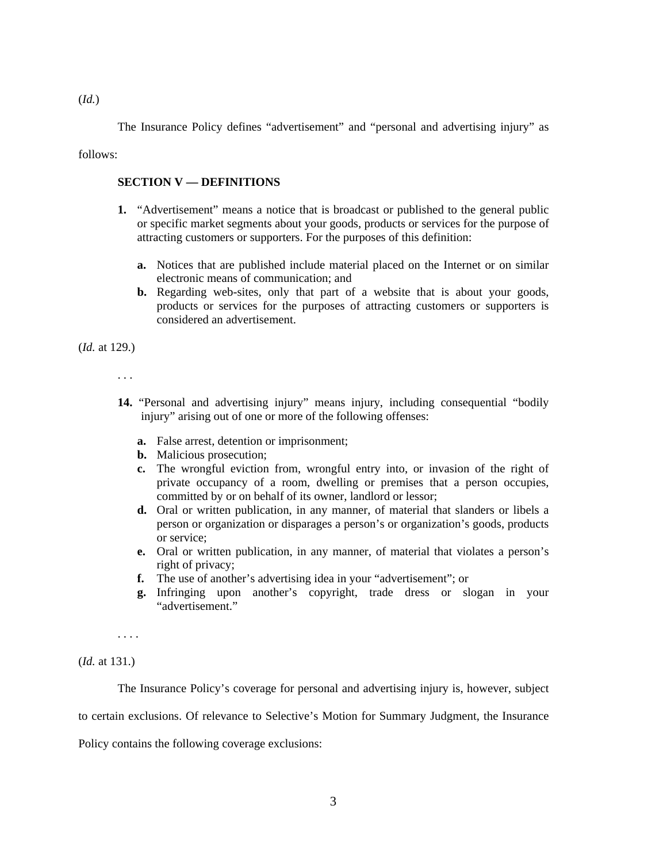The Insurance Policy defines "advertisement" and "personal and advertising injury" as

follows:

### **SECTION V — DEFINITIONS**

- **1.** "Advertisement" means a notice that is broadcast or published to the general public or specific market segments about your goods, products or services for the purpose of attracting customers or supporters. For the purposes of this definition:
	- **a.** Notices that are published include material placed on the Internet or on similar electronic means of communication; and
	- **b.** Regarding web-sites, only that part of a website that is about your goods, products or services for the purposes of attracting customers or supporters is considered an advertisement.

(*Id.* at 129.)

. . .

- **14.** "Personal and advertising injury" means injury, including consequential "bodily injury" arising out of one or more of the following offenses:
	- **a.** False arrest, detention or imprisonment;
	- **b.** Malicious prosecution;
	- **c.** The wrongful eviction from, wrongful entry into, or invasion of the right of private occupancy of a room, dwelling or premises that a person occupies, committed by or on behalf of its owner, landlord or lessor;
	- **d.** Oral or written publication, in any manner, of material that slanders or libels a person or organization or disparages a person's or organization's goods, products or service;
	- **e.** Oral or written publication, in any manner, of material that violates a person's right of privacy;
	- **f.** The use of another's advertising idea in your "advertisement"; or
	- **g.** Infringing upon another's copyright, trade dress or slogan in your "advertisement."

. . . .

(*Id.* at 131.)

The Insurance Policy's coverage for personal and advertising injury is, however, subject

to certain exclusions. Of relevance to Selective's Motion for Summary Judgment, the Insurance

Policy contains the following coverage exclusions: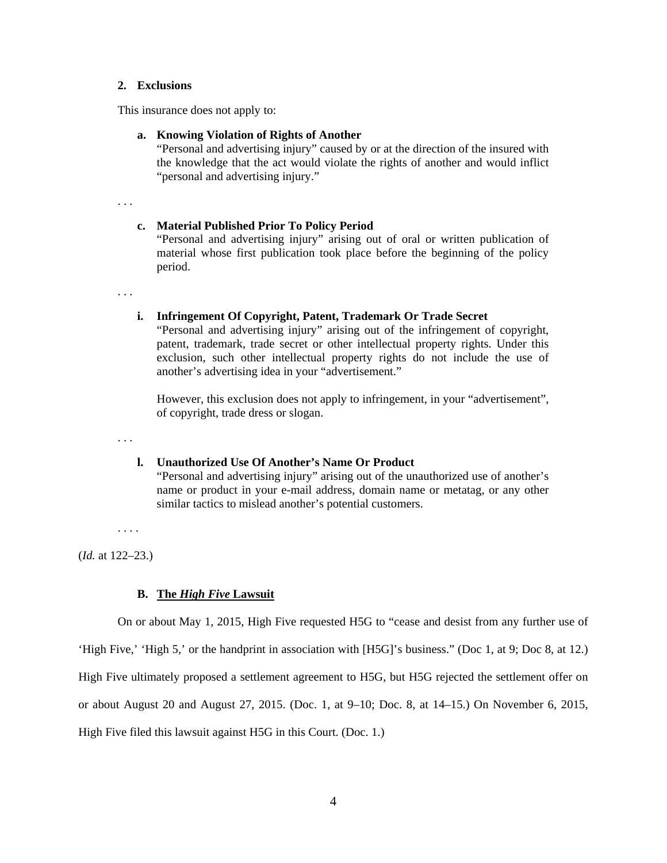### **2. Exclusions**

This insurance does not apply to:

### **a. Knowing Violation of Rights of Another**

"Personal and advertising injury" caused by or at the direction of the insured with the knowledge that the act would violate the rights of another and would inflict "personal and advertising injury."

. . .

#### **c. Material Published Prior To Policy Period**

"Personal and advertising injury" arising out of oral or written publication of material whose first publication took place before the beginning of the policy period.

. . .

### **i. Infringement Of Copyright, Patent, Trademark Or Trade Secret**

"Personal and advertising injury" arising out of the infringement of copyright, patent, trademark, trade secret or other intellectual property rights. Under this exclusion, such other intellectual property rights do not include the use of another's advertising idea in your "advertisement."

However, this exclusion does not apply to infringement, in your "advertisement", of copyright, trade dress or slogan.

. . .

## **l. Unauthorized Use Of Another's Name Or Product**

"Personal and advertising injury" arising out of the unauthorized use of another's name or product in your e-mail address, domain name or metatag, or any other similar tactics to mislead another's potential customers.

. . . .

(*Id.* at 122–23.)

#### **B. The** *High Five* **Lawsuit**

On or about May 1, 2015, High Five requested H5G to "cease and desist from any further use of

'High Five,' 'High 5,' or the handprint in association with [H5G]'s business." (Doc 1, at 9; Doc 8, at 12.)

High Five ultimately proposed a settlement agreement to H5G, but H5G rejected the settlement offer on

or about August 20 and August 27, 2015. (Doc. 1, at 9–10; Doc. 8, at 14–15.) On November 6, 2015,

High Five filed this lawsuit against H5G in this Court. (Doc. 1.)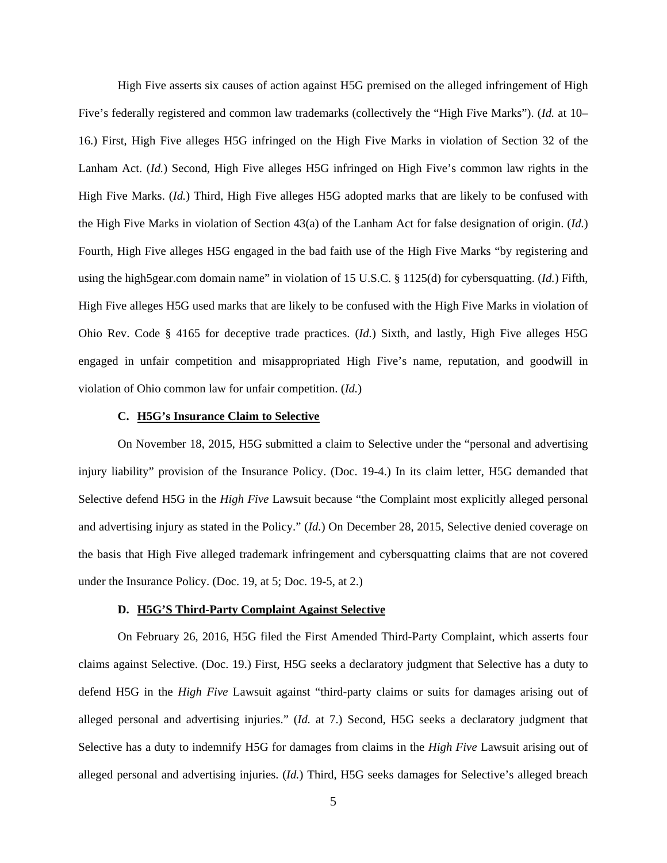High Five asserts six causes of action against H5G premised on the alleged infringement of High Five's federally registered and common law trademarks (collectively the "High Five Marks"). (*Id.* at 10– 16.) First, High Five alleges H5G infringed on the High Five Marks in violation of Section 32 of the Lanham Act. (*Id.*) Second, High Five alleges H5G infringed on High Five's common law rights in the High Five Marks. (*Id.*) Third, High Five alleges H5G adopted marks that are likely to be confused with the High Five Marks in violation of Section 43(a) of the Lanham Act for false designation of origin. (*Id.*) Fourth, High Five alleges H5G engaged in the bad faith use of the High Five Marks "by registering and using the high5gear.com domain name" in violation of 15 U.S.C. § 1125(d) for cybersquatting. (*Id.*) Fifth, High Five alleges H5G used marks that are likely to be confused with the High Five Marks in violation of Ohio Rev. Code § 4165 for deceptive trade practices. (*Id.*) Sixth, and lastly, High Five alleges H5G engaged in unfair competition and misappropriated High Five's name, reputation, and goodwill in violation of Ohio common law for unfair competition. (*Id.*)

### **C. H5G's Insurance Claim to Selective**

On November 18, 2015, H5G submitted a claim to Selective under the "personal and advertising injury liability" provision of the Insurance Policy. (Doc. 19-4.) In its claim letter, H5G demanded that Selective defend H5G in the *High Five* Lawsuit because "the Complaint most explicitly alleged personal and advertising injury as stated in the Policy." (*Id.*) On December 28, 2015, Selective denied coverage on the basis that High Five alleged trademark infringement and cybersquatting claims that are not covered under the Insurance Policy. (Doc. 19, at 5; Doc. 19-5, at 2.)

### **D. H5G'S Third-Party Complaint Against Selective**

On February 26, 2016, H5G filed the First Amended Third-Party Complaint, which asserts four claims against Selective. (Doc. 19.) First, H5G seeks a declaratory judgment that Selective has a duty to defend H5G in the *High Five* Lawsuit against "third-party claims or suits for damages arising out of alleged personal and advertising injuries." (*Id.* at 7.) Second, H5G seeks a declaratory judgment that Selective has a duty to indemnify H5G for damages from claims in the *High Five* Lawsuit arising out of alleged personal and advertising injuries. (*Id.*) Third, H5G seeks damages for Selective's alleged breach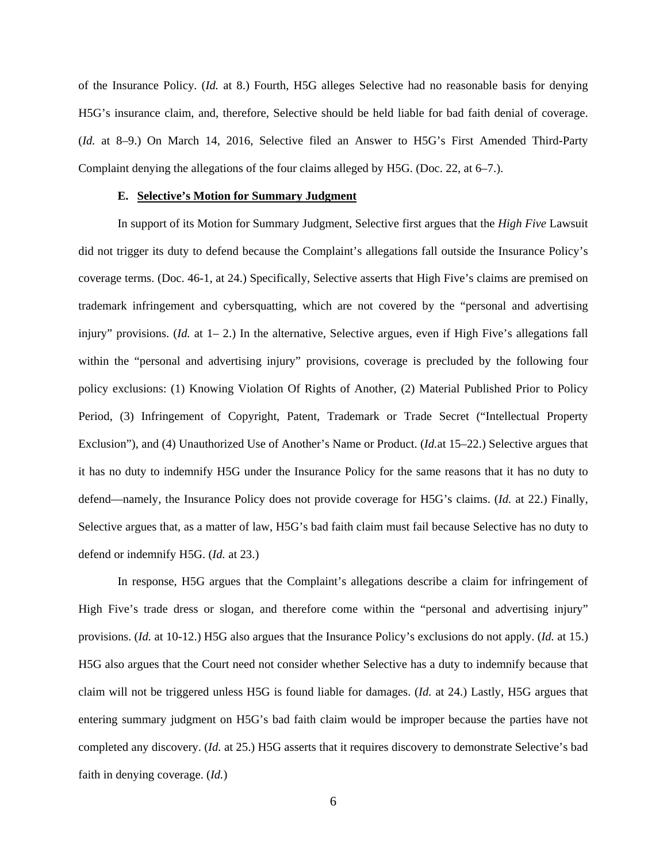of the Insurance Policy. (*Id.* at 8.) Fourth, H5G alleges Selective had no reasonable basis for denying H5G's insurance claim, and, therefore, Selective should be held liable for bad faith denial of coverage. (*Id.* at 8–9.) On March 14, 2016, Selective filed an Answer to H5G's First Amended Third-Party Complaint denying the allegations of the four claims alleged by H5G. (Doc. 22, at 6–7.).

### **E. Selective's Motion for Summary Judgment**

In support of its Motion for Summary Judgment, Selective first argues that the *High Five* Lawsuit did not trigger its duty to defend because the Complaint's allegations fall outside the Insurance Policy's coverage terms. (Doc. 46-1, at 24.) Specifically, Selective asserts that High Five's claims are premised on trademark infringement and cybersquatting, which are not covered by the "personal and advertising injury" provisions. (*Id.* at 1–2.) In the alternative, Selective argues, even if High Five's allegations fall within the "personal and advertising injury" provisions, coverage is precluded by the following four policy exclusions: (1) Knowing Violation Of Rights of Another, (2) Material Published Prior to Policy Period, (3) Infringement of Copyright, Patent, Trademark or Trade Secret ("Intellectual Property Exclusion"), and (4) Unauthorized Use of Another's Name or Product. (*Id.*at 15–22.) Selective argues that it has no duty to indemnify H5G under the Insurance Policy for the same reasons that it has no duty to defend—namely, the Insurance Policy does not provide coverage for H5G's claims. (*Id.* at 22.) Finally, Selective argues that, as a matter of law, H5G's bad faith claim must fail because Selective has no duty to defend or indemnify H5G. (*Id.* at 23.)

In response, H5G argues that the Complaint's allegations describe a claim for infringement of High Five's trade dress or slogan, and therefore come within the "personal and advertising injury" provisions. (*Id.* at 10-12.) H5G also argues that the Insurance Policy's exclusions do not apply. (*Id.* at 15.) H5G also argues that the Court need not consider whether Selective has a duty to indemnify because that claim will not be triggered unless H5G is found liable for damages. (*Id.* at 24.) Lastly, H5G argues that entering summary judgment on H5G's bad faith claim would be improper because the parties have not completed any discovery. (*Id.* at 25.) H5G asserts that it requires discovery to demonstrate Selective's bad faith in denying coverage. (*Id.*)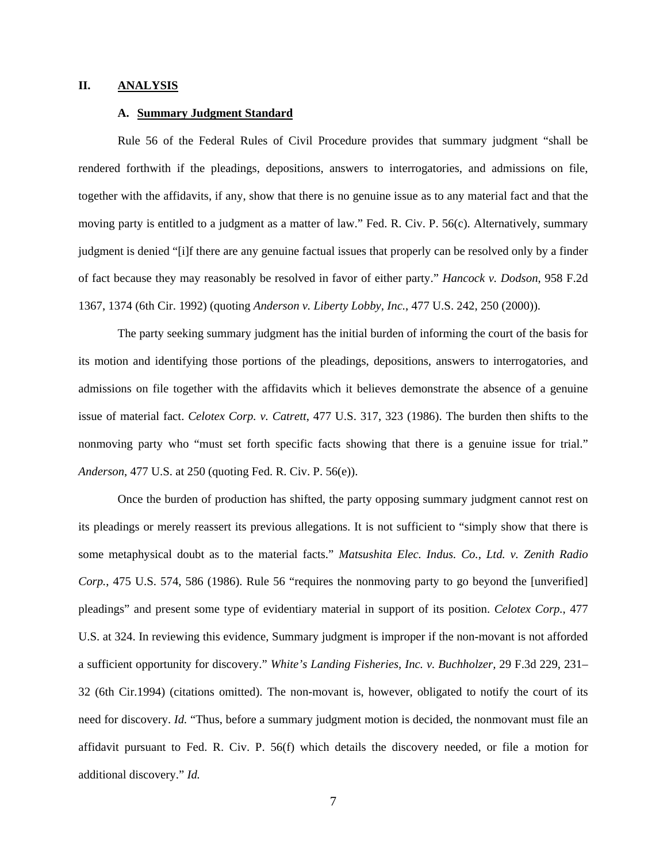### **II. ANALYSIS**

### **A. Summary Judgment Standard**

 Rule 56 of the Federal Rules of Civil Procedure provides that summary judgment "shall be rendered forthwith if the pleadings, depositions, answers to interrogatories, and admissions on file, together with the affidavits, if any, show that there is no genuine issue as to any material fact and that the moving party is entitled to a judgment as a matter of law." Fed. R. Civ. P. 56(c). Alternatively, summary judgment is denied "[i]f there are any genuine factual issues that properly can be resolved only by a finder of fact because they may reasonably be resolved in favor of either party." *Hancock v. Dodson*, 958 F.2d 1367, 1374 (6th Cir. 1992) (quoting *Anderson v. Liberty Lobby, Inc.*, 477 U.S. 242, 250 (2000)).

 The party seeking summary judgment has the initial burden of informing the court of the basis for its motion and identifying those portions of the pleadings, depositions, answers to interrogatories, and admissions on file together with the affidavits which it believes demonstrate the absence of a genuine issue of material fact. *Celotex Corp. v. Catrett*, 477 U.S. 317, 323 (1986). The burden then shifts to the nonmoving party who "must set forth specific facts showing that there is a genuine issue for trial." *Anderson*, 477 U.S. at 250 (quoting Fed. R. Civ. P. 56(e)).

 Once the burden of production has shifted, the party opposing summary judgment cannot rest on its pleadings or merely reassert its previous allegations. It is not sufficient to "simply show that there is some metaphysical doubt as to the material facts." *Matsushita Elec. Indus. Co., Ltd. v. Zenith Radio Corp.*, 475 U.S. 574, 586 (1986). Rule 56 "requires the nonmoving party to go beyond the [unverified] pleadings" and present some type of evidentiary material in support of its position. *Celotex Corp.*, 477 U.S. at 324. In reviewing this evidence, Summary judgment is improper if the non-movant is not afforded a sufficient opportunity for discovery." *White's Landing Fisheries, Inc. v. Buchholzer,* 29 F.3d 229, 231– 32 (6th Cir.1994) (citations omitted). The non-movant is, however, obligated to notify the court of its need for discovery. *Id.* "Thus, before a summary judgment motion is decided, the nonmovant must file an affidavit pursuant to Fed. R. Civ. P. 56(f) which details the discovery needed, or file a motion for additional discovery." *Id.*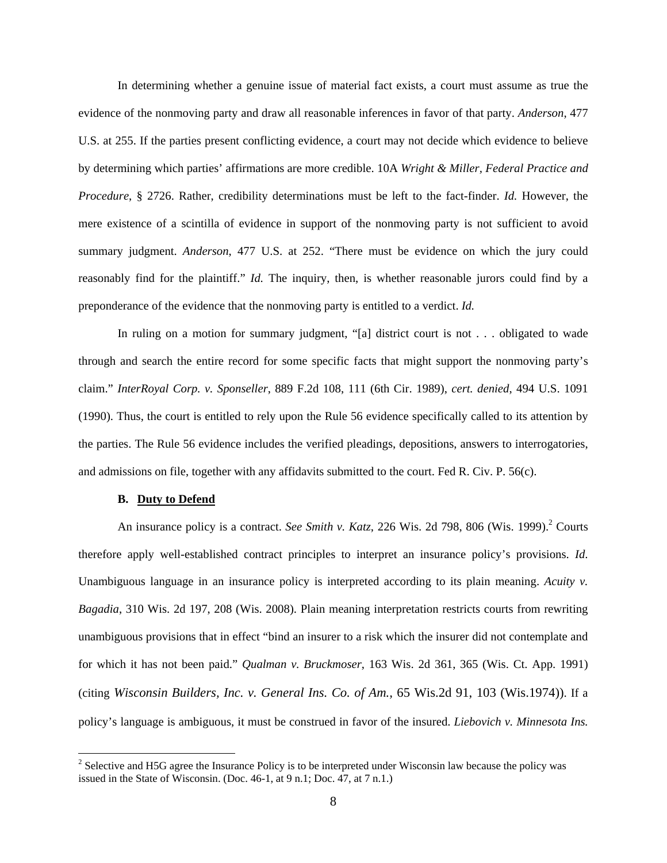In determining whether a genuine issue of material fact exists, a court must assume as true the evidence of the nonmoving party and draw all reasonable inferences in favor of that party. *Anderson*, 477 U.S. at 255. If the parties present conflicting evidence, a court may not decide which evidence to believe by determining which parties' affirmations are more credible. 10A *Wright & Miller, Federal Practice and Procedure*, § 2726. Rather, credibility determinations must be left to the fact-finder. *Id.* However, the mere existence of a scintilla of evidence in support of the nonmoving party is not sufficient to avoid summary judgment. *Anderson*, 477 U.S. at 252. "There must be evidence on which the jury could reasonably find for the plaintiff." *Id.* The inquiry, then, is whether reasonable jurors could find by a preponderance of the evidence that the nonmoving party is entitled to a verdict. *Id.*

 In ruling on a motion for summary judgment, "[a] district court is not . . . obligated to wade through and search the entire record for some specific facts that might support the nonmoving party's claim." *InterRoyal Corp. v. Sponseller*, 889 F.2d 108, 111 (6th Cir. 1989), *cert. denied*, 494 U.S. 1091 (1990). Thus, the court is entitled to rely upon the Rule 56 evidence specifically called to its attention by the parties. The Rule 56 evidence includes the verified pleadings, depositions, answers to interrogatories, and admissions on file, together with any affidavits submitted to the court. Fed R. Civ. P. 56(c).

### **B. Duty to Defend**

<u>.</u>

An insurance policy is a contract. *See Smith v. Katz*, 226 Wis. 2d 798, 806 (Wis. 1999).<sup>2</sup> Courts therefore apply well-established contract principles to interpret an insurance policy's provisions. *Id*. Unambiguous language in an insurance policy is interpreted according to its plain meaning. *Acuity v. Bagadia*, 310 Wis. 2d 197, 208 (Wis. 2008). Plain meaning interpretation restricts courts from rewriting unambiguous provisions that in effect "bind an insurer to a risk which the insurer did not contemplate and for which it has not been paid." *Qualman v. Bruckmoser*, 163 Wis. 2d 361, 365 (Wis. Ct. App. 1991) (citing *Wisconsin Builders, Inc. v. General Ins. Co. of Am.,* 65 Wis.2d 91, 103 (Wis.1974)). If a policy's language is ambiguous, it must be construed in favor of the insured. *Liebovich v. Minnesota Ins.* 

 $2^2$  Selective and H5G agree the Insurance Policy is to be interpreted under Wisconsin law because the policy was issued in the State of Wisconsin. (Doc. 46-1, at 9 n.1; Doc. 47, at 7 n.1.)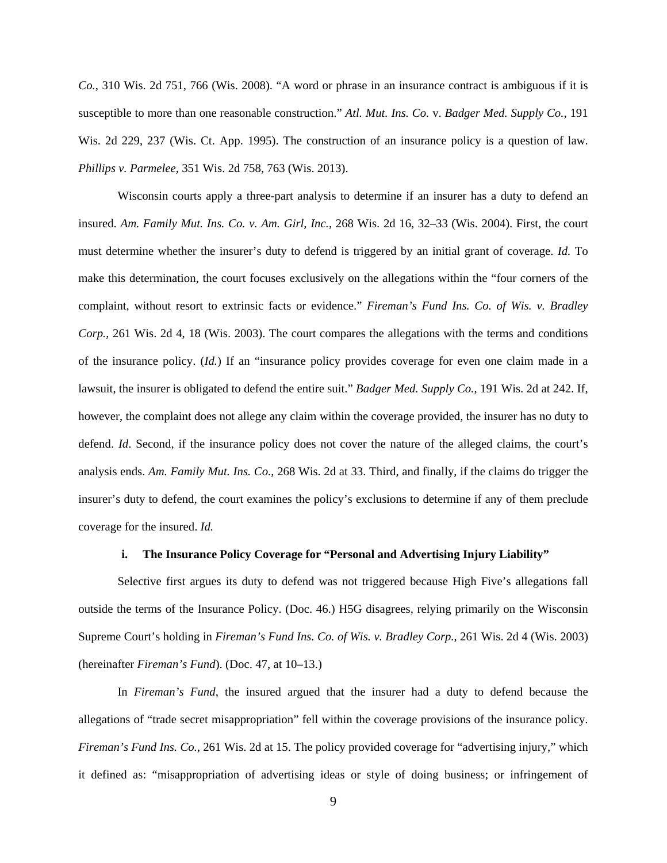*Co.*, 310 Wis. 2d 751, 766 (Wis. 2008). "A word or phrase in an insurance contract is ambiguous if it is susceptible to more than one reasonable construction." *Atl. Mut. Ins. Co.* v. *Badger Med. Supply Co.*, 191 Wis. 2d 229, 237 (Wis. Ct. App. 1995). The construction of an insurance policy is a question of law. *Phillips v. Parmelee*, 351 Wis. 2d 758, 763 (Wis. 2013).

Wisconsin courts apply a three-part analysis to determine if an insurer has a duty to defend an insured. *Am. Family Mut. Ins. Co. v. Am. Girl, Inc.*, 268 Wis. 2d 16, 32–33 (Wis. 2004). First, the court must determine whether the insurer's duty to defend is triggered by an initial grant of coverage. *Id.* To make this determination, the court focuses exclusively on the allegations within the "four corners of the complaint, without resort to extrinsic facts or evidence." *Fireman's Fund Ins. Co. of Wis. v. Bradley Corp.*, 261 Wis. 2d 4, 18 (Wis. 2003). The court compares the allegations with the terms and conditions of the insurance policy. (*Id.*) If an "insurance policy provides coverage for even one claim made in a lawsuit, the insurer is obligated to defend the entire suit." *Badger Med. Supply Co.*, 191 Wis. 2d at 242. If, however, the complaint does not allege any claim within the coverage provided, the insurer has no duty to defend. *Id*. Second, if the insurance policy does not cover the nature of the alleged claims, the court's analysis ends. *Am. Family Mut. Ins. Co.*, 268 Wis. 2d at 33. Third, and finally, if the claims do trigger the insurer's duty to defend, the court examines the policy's exclusions to determine if any of them preclude coverage for the insured. *Id.*

#### **i. The Insurance Policy Coverage for "Personal and Advertising Injury Liability"**

Selective first argues its duty to defend was not triggered because High Five's allegations fall outside the terms of the Insurance Policy. (Doc. 46.) H5G disagrees, relying primarily on the Wisconsin Supreme Court's holding in *Fireman's Fund Ins. Co. of Wis. v. Bradley Corp.*, 261 Wis. 2d 4 (Wis. 2003) (hereinafter *Fireman's Fund*). (Doc. 47, at 10–13.)

In *Fireman's Fund*, the insured argued that the insurer had a duty to defend because the allegations of "trade secret misappropriation" fell within the coverage provisions of the insurance policy. *Fireman's Fund Ins. Co.*, 261 Wis. 2d at 15. The policy provided coverage for "advertising injury," which it defined as: "misappropriation of advertising ideas or style of doing business; or infringement of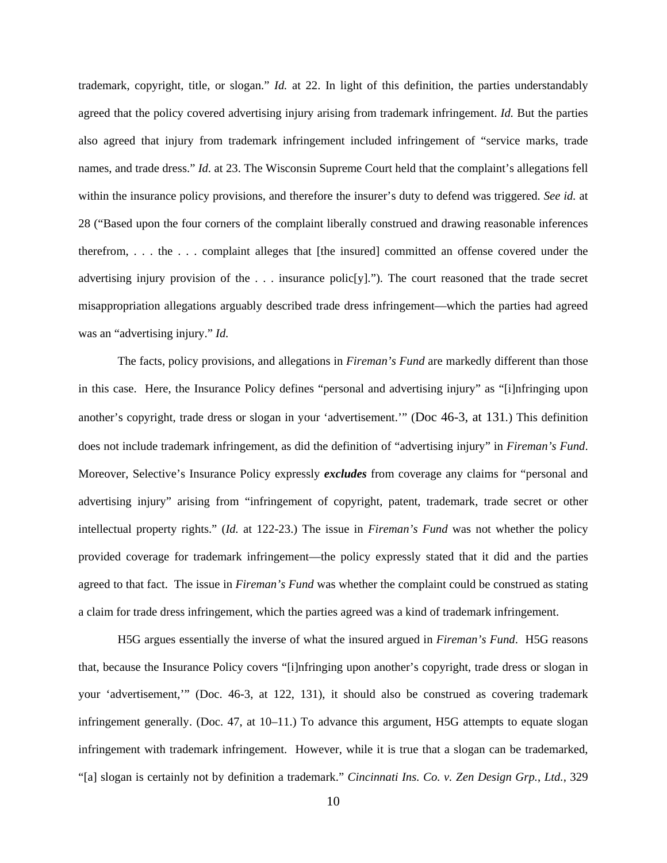trademark, copyright, title, or slogan." *Id.* at 22. In light of this definition, the parties understandably agreed that the policy covered advertising injury arising from trademark infringement. *Id.* But the parties also agreed that injury from trademark infringement included infringement of "service marks, trade names, and trade dress." *Id.* at 23. The Wisconsin Supreme Court held that the complaint's allegations fell within the insurance policy provisions, and therefore the insurer's duty to defend was triggered. *See id.* at 28 ("Based upon the four corners of the complaint liberally construed and drawing reasonable inferences therefrom, . . . the . . . complaint alleges that [the insured] committed an offense covered under the advertising injury provision of the  $\ldots$  insurance polic $[y]$ ."). The court reasoned that the trade secret misappropriation allegations arguably described trade dress infringement—which the parties had agreed was an "advertising injury." *Id.* 

The facts, policy provisions, and allegations in *Fireman's Fund* are markedly different than those in this case. Here, the Insurance Policy defines "personal and advertising injury" as "[i]nfringing upon another's copyright, trade dress or slogan in your 'advertisement.'" (Doc 46-3, at 131*.*) This definition does not include trademark infringement, as did the definition of "advertising injury" in *Fireman's Fund*. Moreover, Selective's Insurance Policy expressly *excludes* from coverage any claims for "personal and advertising injury" arising from "infringement of copyright, patent, trademark, trade secret or other intellectual property rights." (*Id.* at 122-23.) The issue in *Fireman's Fund* was not whether the policy provided coverage for trademark infringement—the policy expressly stated that it did and the parties agreed to that fact. The issue in *Fireman's Fund* was whether the complaint could be construed as stating a claim for trade dress infringement, which the parties agreed was a kind of trademark infringement.

H5G argues essentially the inverse of what the insured argued in *Fireman's Fund*. H5G reasons that, because the Insurance Policy covers "[i]nfringing upon another's copyright, trade dress or slogan in your 'advertisement,'" (Doc. 46-3, at 122, 131), it should also be construed as covering trademark infringement generally. (Doc. 47, at 10–11.) To advance this argument, H5G attempts to equate slogan infringement with trademark infringement. However, while it is true that a slogan can be trademarked, "[a] slogan is certainly not by definition a trademark." *Cincinnati Ins. Co. v. Zen Design Grp.*, *Ltd.*, 329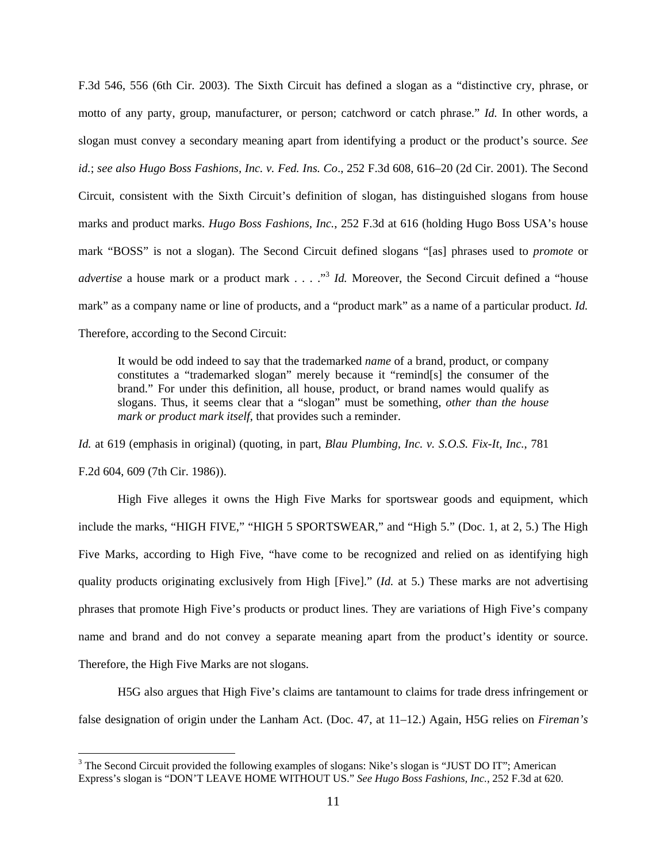F.3d 546, 556 (6th Cir. 2003). The Sixth Circuit has defined a slogan as a "distinctive cry, phrase, or motto of any party, group, manufacturer, or person; catchword or catch phrase." *Id.* In other words, a slogan must convey a secondary meaning apart from identifying a product or the product's source. *See id.*; *see also Hugo Boss Fashions, Inc. v. Fed. Ins. Co*., 252 F.3d 608, 616–20 (2d Cir. 2001). The Second Circuit, consistent with the Sixth Circuit's definition of slogan, has distinguished slogans from house marks and product marks. *Hugo Boss Fashions, Inc.*, 252 F.3d at 616 (holding Hugo Boss USA's house mark "BOSS" is not a slogan). The Second Circuit defined slogans "[as] phrases used to *promote* or *advertise* a house mark or a product mark . . . . "<sup>3</sup> *Id.* Moreover, the Second Circuit defined a "house mark" as a company name or line of products, and a "product mark" as a name of a particular product. *Id.* Therefore, according to the Second Circuit:

It would be odd indeed to say that the trademarked *name* of a brand, product, or company constitutes a "trademarked slogan" merely because it "remind[s] the consumer of the brand." For under this definition, all house, product, or brand names would qualify as slogans. Thus, it seems clear that a "slogan" must be something, *other than the house mark or product mark itself*, that provides such a reminder.

*Id.* at 619 (emphasis in original) (quoting, in part, *Blau Plumbing, Inc. v. S.O.S. Fix-It, Inc.*, 781 F.2d 604, 609 (7th Cir. 1986)).

 High Five alleges it owns the High Five Marks for sportswear goods and equipment, which include the marks, "HIGH FIVE," "HIGH 5 SPORTSWEAR," and "High 5." (Doc. 1, at 2, 5.) The High Five Marks, according to High Five, "have come to be recognized and relied on as identifying high quality products originating exclusively from High [Five]." (*Id.* at 5.) These marks are not advertising phrases that promote High Five's products or product lines. They are variations of High Five's company name and brand and do not convey a separate meaning apart from the product's identity or source. Therefore, the High Five Marks are not slogans.

 H5G also argues that High Five's claims are tantamount to claims for trade dress infringement or false designation of origin under the Lanham Act. (Doc. 47, at 11–12.) Again, H5G relies on *Fireman's* 

<u>.</u>

<sup>&</sup>lt;sup>3</sup> The Second Circuit provided the following examples of slogans: Nike's slogan is "JUST DO IT"; American Express's slogan is "DON'T LEAVE HOME WITHOUT US." *See Hugo Boss Fashions, Inc.*, 252 F.3d at 620.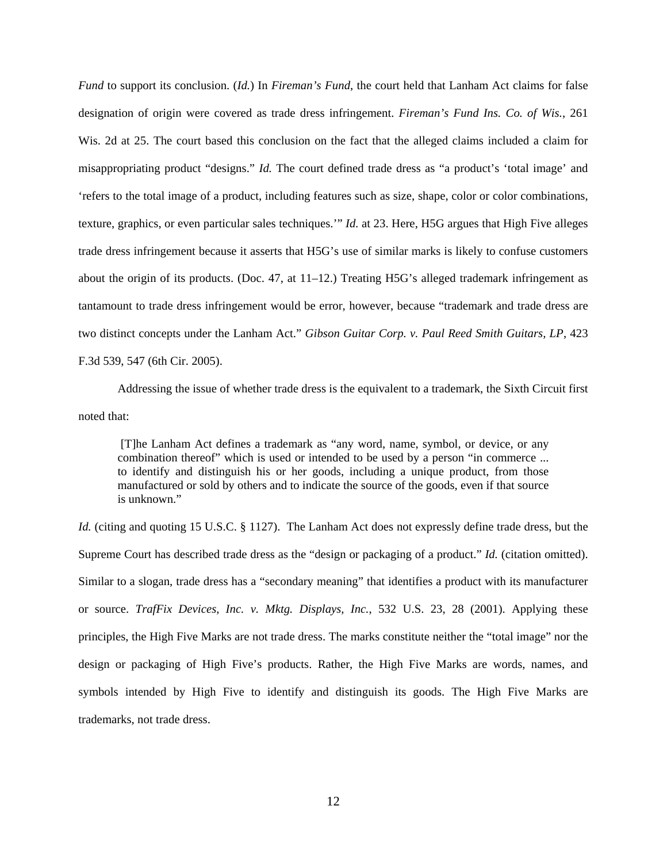*Fund* to support its conclusion. (*Id.*) In *Fireman's Fund*, the court held that Lanham Act claims for false designation of origin were covered as trade dress infringement. *Fireman's Fund Ins. Co. of Wis.*, 261 Wis. 2d at 25. The court based this conclusion on the fact that the alleged claims included a claim for misappropriating product "designs." *Id.* The court defined trade dress as "a product's 'total image' and 'refers to the total image of a product, including features such as size, shape, color or color combinations, texture, graphics, or even particular sales techniques.'" *Id.* at 23. Here, H5G argues that High Five alleges trade dress infringement because it asserts that H5G's use of similar marks is likely to confuse customers about the origin of its products. (Doc. 47, at  $11-12$ .) Treating H5G's alleged trademark infringement as tantamount to trade dress infringement would be error, however, because "trademark and trade dress are two distinct concepts under the Lanham Act." *Gibson Guitar Corp. v. Paul Reed Smith Guitars, LP*, 423 F.3d 539, 547 (6th Cir. 2005).

 Addressing the issue of whether trade dress is the equivalent to a trademark, the Sixth Circuit first noted that:

 [T]he Lanham Act defines a trademark as "any word, name, symbol, or device, or any combination thereof" which is used or intended to be used by a person "in commerce ... to identify and distinguish his or her goods, including a unique product, from those manufactured or sold by others and to indicate the source of the goods, even if that source is unknown."

*Id.* (citing and quoting 15 U.S.C. § 1127). The Lanham Act does not expressly define trade dress, but the Supreme Court has described trade dress as the "design or packaging of a product." *Id.* (citation omitted). Similar to a slogan, trade dress has a "secondary meaning" that identifies a product with its manufacturer or source. *TrafFix Devices, Inc. v. Mktg. Displays, Inc.*, 532 U.S. 23, 28 (2001). Applying these principles, the High Five Marks are not trade dress. The marks constitute neither the "total image" nor the design or packaging of High Five's products. Rather, the High Five Marks are words, names, and symbols intended by High Five to identify and distinguish its goods. The High Five Marks are trademarks, not trade dress.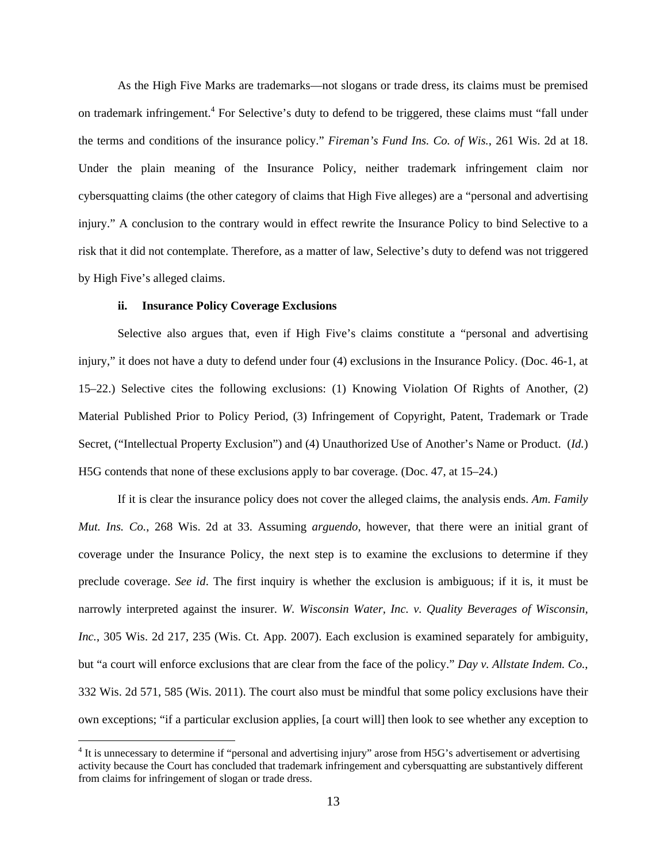As the High Five Marks are trademarks—not slogans or trade dress, its claims must be premised on trademark infringement.<sup>4</sup> For Selective's duty to defend to be triggered, these claims must "fall under the terms and conditions of the insurance policy." *Fireman's Fund Ins. Co. of Wis.*, 261 Wis. 2d at 18. Under the plain meaning of the Insurance Policy, neither trademark infringement claim nor cybersquatting claims (the other category of claims that High Five alleges) are a "personal and advertising injury." A conclusion to the contrary would in effect rewrite the Insurance Policy to bind Selective to a risk that it did not contemplate. Therefore, as a matter of law, Selective's duty to defend was not triggered by High Five's alleged claims.

# **ii. Insurance Policy Coverage Exclusions**

<u>.</u>

 Selective also argues that, even if High Five's claims constitute a "personal and advertising injury," it does not have a duty to defend under four (4) exclusions in the Insurance Policy. (Doc. 46-1, at 15–22.) Selective cites the following exclusions: (1) Knowing Violation Of Rights of Another, (2) Material Published Prior to Policy Period, (3) Infringement of Copyright, Patent, Trademark or Trade Secret, ("Intellectual Property Exclusion") and (4) Unauthorized Use of Another's Name or Product. (*Id.*) H5G contends that none of these exclusions apply to bar coverage. (Doc. 47, at 15–24.)

If it is clear the insurance policy does not cover the alleged claims, the analysis ends. *Am. Family Mut. Ins. Co.*, 268 Wis. 2d at 33. Assuming *arguendo*, however, that there were an initial grant of coverage under the Insurance Policy, the next step is to examine the exclusions to determine if they preclude coverage. *See id*. The first inquiry is whether the exclusion is ambiguous; if it is, it must be narrowly interpreted against the insurer. *W. Wisconsin Water, Inc. v. Quality Beverages of Wisconsin, Inc.*, 305 Wis. 2d 217, 235 (Wis. Ct. App. 2007). Each exclusion is examined separately for ambiguity, but "a court will enforce exclusions that are clear from the face of the policy." *Day v. Allstate Indem. Co.*, 332 Wis. 2d 571, 585 (Wis. 2011). The court also must be mindful that some policy exclusions have their own exceptions; "if a particular exclusion applies, [a court will] then look to see whether any exception to

<sup>&</sup>lt;sup>4</sup> It is unnecessary to determine if "personal and advertising injury" arose from H5G's advertisement or advertising activity because the Court has concluded that trademark infringement and cybersquatting are substantively different from claims for infringement of slogan or trade dress.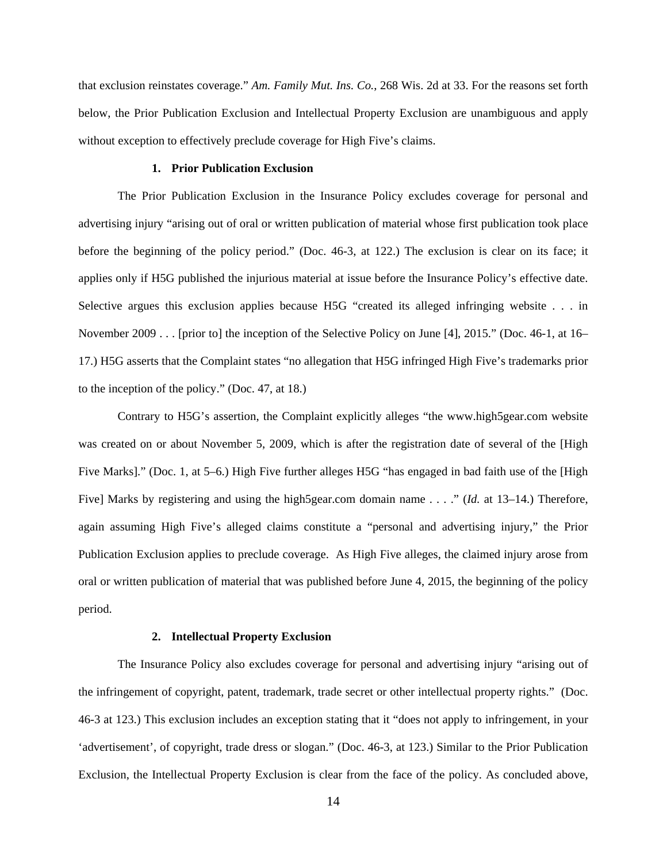that exclusion reinstates coverage." *Am. Family Mut. Ins. Co.*, 268 Wis. 2d at 33. For the reasons set forth below, the Prior Publication Exclusion and Intellectual Property Exclusion are unambiguous and apply without exception to effectively preclude coverage for High Five's claims.

# **1. Prior Publication Exclusion**

The Prior Publication Exclusion in the Insurance Policy excludes coverage for personal and advertising injury "arising out of oral or written publication of material whose first publication took place before the beginning of the policy period." (Doc. 46-3, at 122.) The exclusion is clear on its face; it applies only if H5G published the injurious material at issue before the Insurance Policy's effective date. Selective argues this exclusion applies because H5G "created its alleged infringing website . . . in November 2009 . . . [prior to] the inception of the Selective Policy on June [4], 2015." (Doc. 46-1, at 16– 17.) H5G asserts that the Complaint states "no allegation that H5G infringed High Five's trademarks prior to the inception of the policy." (Doc. 47, at 18.)

Contrary to H5G's assertion, the Complaint explicitly alleges "the www.high5gear.com website was created on or about November 5, 2009, which is after the registration date of several of the [High Five Marks]." (Doc. 1, at 5–6.) High Five further alleges H5G "has engaged in bad faith use of the [High Five] Marks by registering and using the high5gear.com domain name . . . ." (*Id.* at 13–14.) Therefore, again assuming High Five's alleged claims constitute a "personal and advertising injury," the Prior Publication Exclusion applies to preclude coverage. As High Five alleges, the claimed injury arose from oral or written publication of material that was published before June 4, 2015, the beginning of the policy period.

#### **2. Intellectual Property Exclusion**

The Insurance Policy also excludes coverage for personal and advertising injury "arising out of the infringement of copyright, patent, trademark, trade secret or other intellectual property rights." (Doc. 46-3 at 123.) This exclusion includes an exception stating that it "does not apply to infringement, in your 'advertisement', of copyright, trade dress or slogan." (Doc. 46-3, at 123.) Similar to the Prior Publication Exclusion, the Intellectual Property Exclusion is clear from the face of the policy. As concluded above,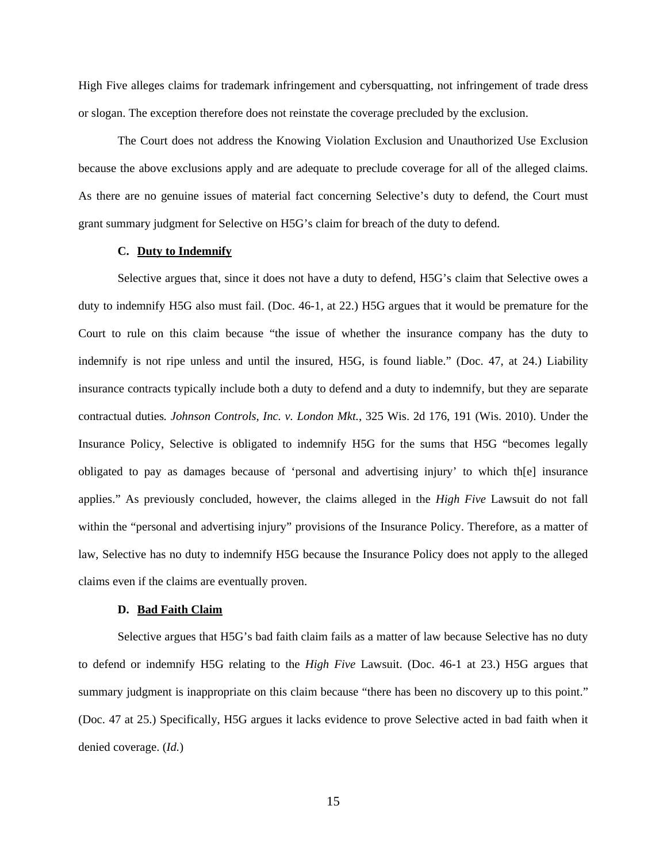High Five alleges claims for trademark infringement and cybersquatting, not infringement of trade dress or slogan. The exception therefore does not reinstate the coverage precluded by the exclusion.

The Court does not address the Knowing Violation Exclusion and Unauthorized Use Exclusion because the above exclusions apply and are adequate to preclude coverage for all of the alleged claims. As there are no genuine issues of material fact concerning Selective's duty to defend, the Court must grant summary judgment for Selective on H5G's claim for breach of the duty to defend.

### **C. Duty to Indemnify**

Selective argues that, since it does not have a duty to defend, H5G's claim that Selective owes a duty to indemnify H5G also must fail. (Doc. 46-1, at 22.) H5G argues that it would be premature for the Court to rule on this claim because "the issue of whether the insurance company has the duty to indemnify is not ripe unless and until the insured, H5G, is found liable." (Doc. 47, at 24.) Liability insurance contracts typically include both a duty to defend and a duty to indemnify, but they are separate contractual duties*. Johnson Controls, Inc. v. London Mkt.*, 325 Wis. 2d 176, 191 (Wis. 2010). Under the Insurance Policy, Selective is obligated to indemnify H5G for the sums that H5G "becomes legally obligated to pay as damages because of 'personal and advertising injury' to which th[e] insurance applies." As previously concluded, however, the claims alleged in the *High Five* Lawsuit do not fall within the "personal and advertising injury" provisions of the Insurance Policy. Therefore, as a matter of law, Selective has no duty to indemnify H5G because the Insurance Policy does not apply to the alleged claims even if the claims are eventually proven.

#### **D. Bad Faith Claim**

Selective argues that H5G's bad faith claim fails as a matter of law because Selective has no duty to defend or indemnify H5G relating to the *High Five* Lawsuit. (Doc. 46-1 at 23.) H5G argues that summary judgment is inappropriate on this claim because "there has been no discovery up to this point." (Doc. 47 at 25.) Specifically, H5G argues it lacks evidence to prove Selective acted in bad faith when it denied coverage. (*Id.*)